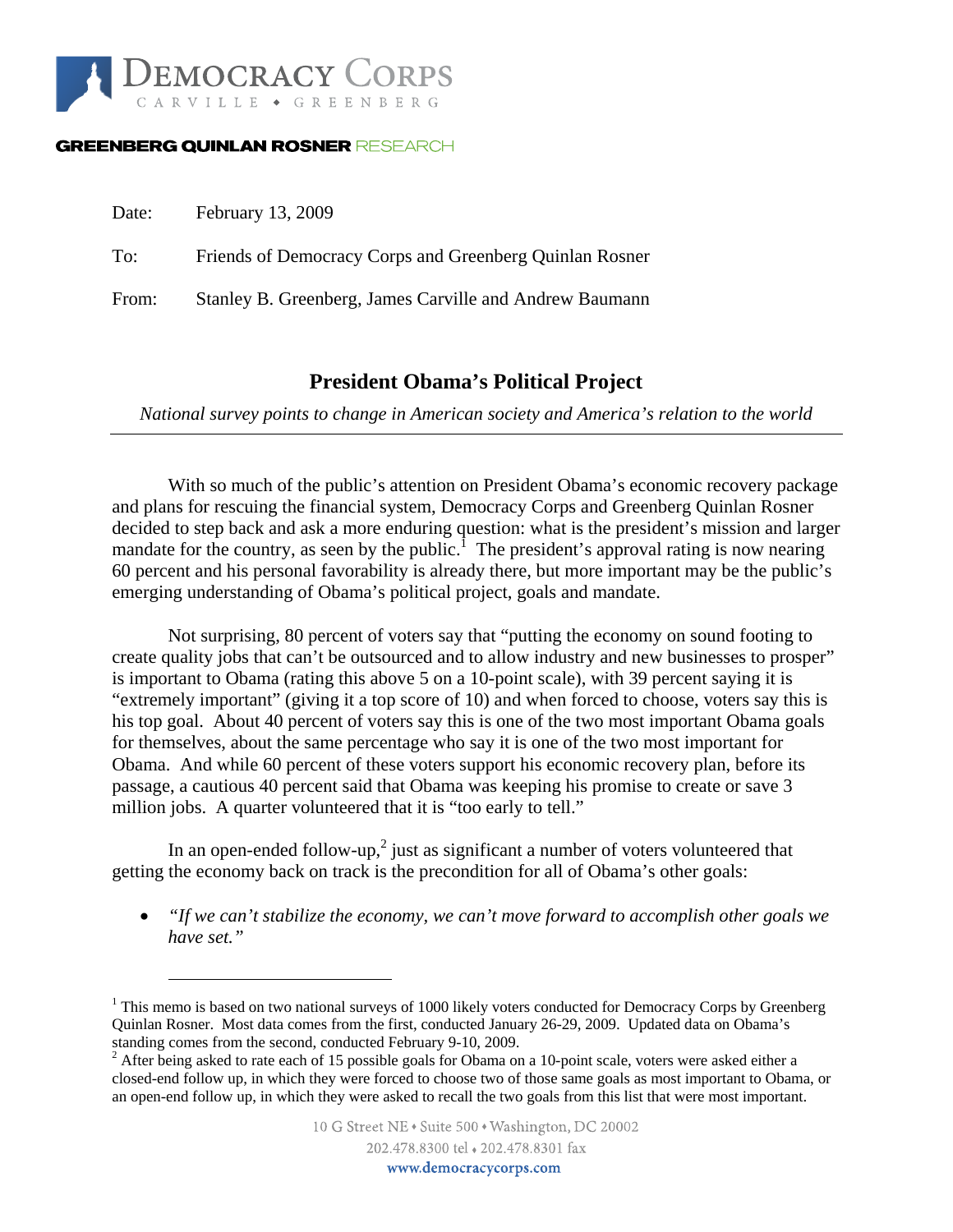

#### **GREENBERG QUINLAN ROSNER RESEARCH**

 $\overline{a}$ 

| Date: | February 13, 2009                                       |
|-------|---------------------------------------------------------|
| To:   | Friends of Democracy Corps and Greenberg Quinlan Rosner |
| From: | Stanley B. Greenberg, James Carville and Andrew Baumann |

## **President Obama's Political Project**

*National survey points to change in American society and America's relation to the world* 

 With so much of the public's attention on President Obama's economic recovery package and plans for rescuing the financial system, Democracy Corps and Greenberg Quinlan Rosner decided to step back and ask a more enduring question: what is the president's mission and larger mandate for the country, as seen by the public.<sup>1</sup> The president's approval rating is now nearing 60 percent and his personal favorability is already there, but more important may be the public's emerging understanding of Obama's political project, goals and mandate.

 Not surprising, 80 percent of voters say that "putting the economy on sound footing to create quality jobs that can't be outsourced and to allow industry and new businesses to prosper" is important to Obama (rating this above 5 on a 10-point scale), with 39 percent saying it is "extremely important" (giving it a top score of 10) and when forced to choose, voters say this is his top goal. About 40 percent of voters say this is one of the two most important Obama goals for themselves, about the same percentage who say it is one of the two most important for Obama. And while 60 percent of these voters support his economic recovery plan, before its passage, a cautious 40 percent said that Obama was keeping his promise to create or save 3 million jobs. A quarter volunteered that it is "too early to tell."

In an open-ended follow-up,<sup>2</sup> just as significant a number of voters volunteered that getting the economy back on track is the precondition for all of Obama's other goals:

• *"If we can't stabilize the economy, we can't move forward to accomplish other goals we have set."* 

<sup>&</sup>lt;sup>1</sup> This memo is based on two national surveys of 1000 likely voters conducted for Democracy Corps by Greenberg Quinlan Rosner. Most data comes from the first, conducted January 26-29, 2009. Updated data on Obama's

standing comes from the second, conducted February 9-10, 2009.<br><sup>2</sup> After being asked to rate each of 15 possible goals for Obama on a 10-point scale, voters were asked either a closed-end follow up, in which they were forced to choose two of those same goals as most important to Obama, or an open-end follow up, in which they were asked to recall the two goals from this list that were most important.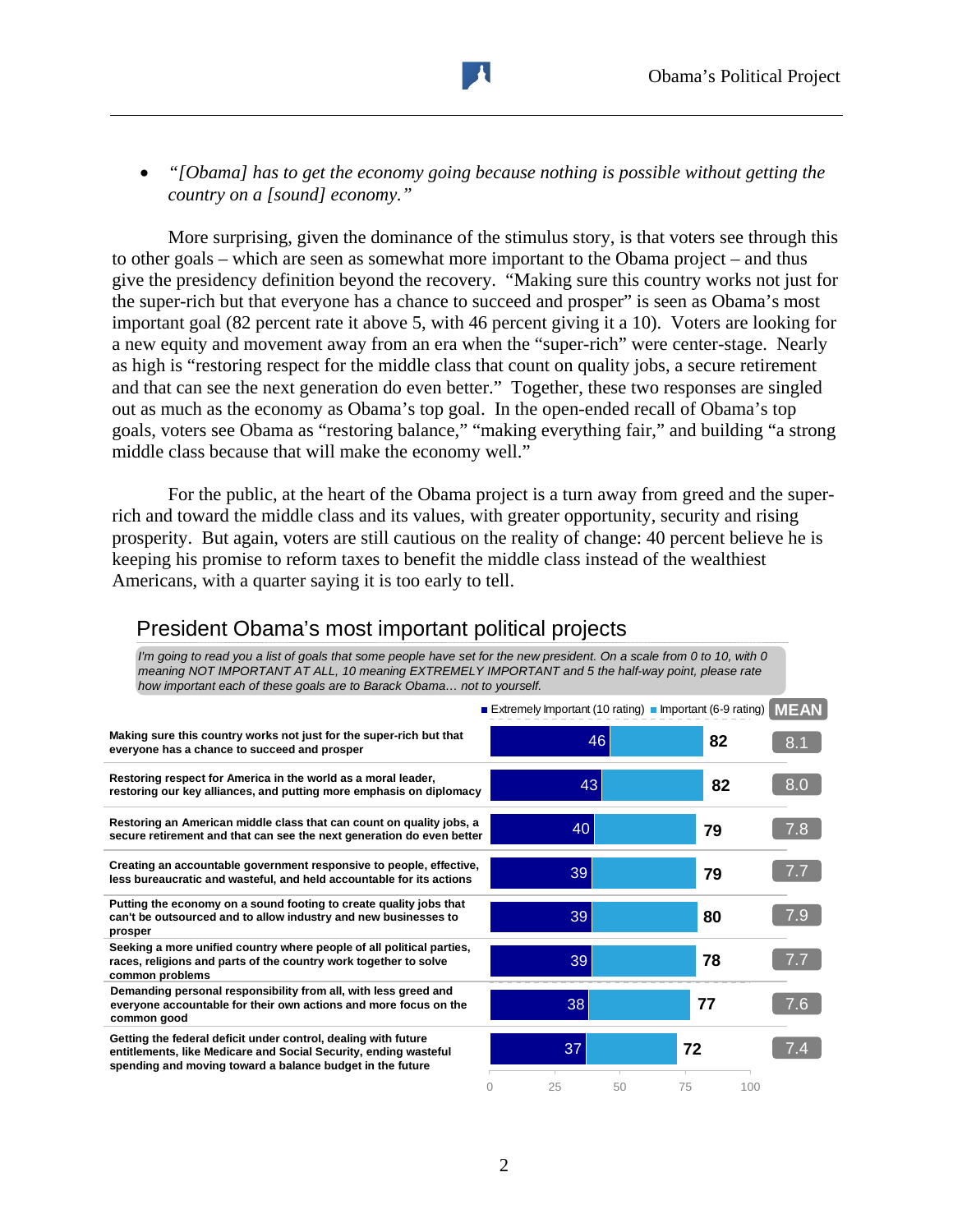• *"[Obama] has to get the economy going because nothing is possible without getting the country on a [sound] economy."* 

More surprising, given the dominance of the stimulus story, is that voters see through this to other goals – which are seen as somewhat more important to the Obama project – and thus give the presidency definition beyond the recovery. "Making sure this country works not just for the super-rich but that everyone has a chance to succeed and prosper" is seen as Obama's most important goal (82 percent rate it above 5, with 46 percent giving it a 10). Voters are looking for a new equity and movement away from an era when the "super-rich" were center-stage. Nearly as high is "restoring respect for the middle class that count on quality jobs, a secure retirement and that can see the next generation do even better." Together, these two responses are singled out as much as the economy as Obama's top goal. In the open-ended recall of Obama's top goals, voters see Obama as "restoring balance," "making everything fair," and building "a strong middle class because that will make the economy well."

For the public, at the heart of the Obama project is a turn away from greed and the superrich and toward the middle class and its values, with greater opportunity, security and rising prosperity. But again, voters are still cautious on the reality of change: 40 percent believe he is keeping his promise to reform taxes to benefit the middle class instead of the wealthiest Americans, with a quarter saying it is too early to tell.

| The going to read you a list of goals that some people have set for the new president. On a scale from 0 to 10, with 0<br>meaning NOT IMPORTANT AT ALL, 10 meaning EXTREMELY IMPORTANT and 5 the half-way point, please rate<br>how important each of these goals are to Barack Obama not to yourself. |                                                            |          |     |             |
|--------------------------------------------------------------------------------------------------------------------------------------------------------------------------------------------------------------------------------------------------------------------------------------------------------|------------------------------------------------------------|----------|-----|-------------|
|                                                                                                                                                                                                                                                                                                        | ■ Extremely Important (10 rating) ■ Important (6-9 rating) |          |     | <b>MEAN</b> |
| Making sure this country works not just for the super-rich but that<br>everyone has a chance to succeed and prosper                                                                                                                                                                                    |                                                            | 46       | 82  | 8.1         |
| Restoring respect for America in the world as a moral leader,<br>restoring our key alliances, and putting more emphasis on diplomacy                                                                                                                                                                   | 43                                                         |          | 82  | 8.0         |
| Restoring an American middle class that can count on quality jobs, a<br>secure retirement and that can see the next generation do even better                                                                                                                                                          | 40                                                         |          | 79  | 7.8         |
| Creating an accountable government responsive to people, effective,<br>less bureaucratic and wasteful, and held accountable for its actions                                                                                                                                                            | 39                                                         |          | 79  | 7.7         |
| Putting the economy on a sound footing to create quality jobs that<br>can't be outsourced and to allow industry and new businesses to<br>prosper                                                                                                                                                       | 39                                                         |          | 80  | 7.9         |
| Seeking a more unified country where people of all political parties,<br>races, religions and parts of the country work together to solve<br>common problems                                                                                                                                           | 39                                                         |          | 78  | 7.7         |
| Demanding personal responsibility from all, with less greed and<br>everyone accountable for their own actions and more focus on the<br>common good                                                                                                                                                     | 38                                                         |          | 77  | 7.6         |
| Getting the federal deficit under control, dealing with future<br>entitlements, like Medicare and Social Security, ending wasteful<br>spending and moving toward a balance budget in the future                                                                                                        | 37                                                         |          | 72  | 7.4         |
|                                                                                                                                                                                                                                                                                                        | 25<br>0                                                    | 50<br>75 | 100 |             |

### President Obama's most important political projects

*I'm going to read you a list of goals that some people have set for the new president. On a scale from 0 to 10, with 0*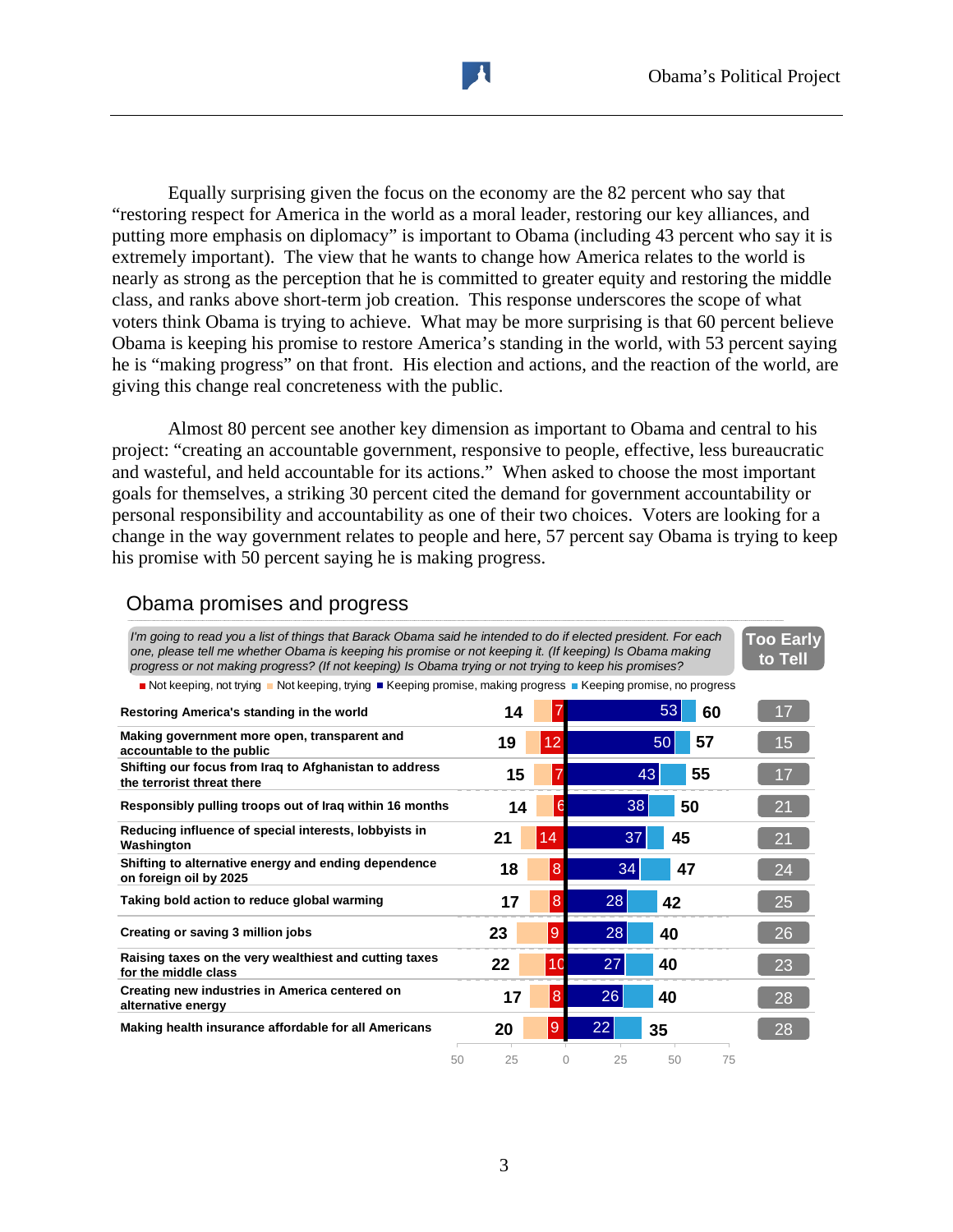Equally surprising given the focus on the economy are the 82 percent who say that "restoring respect for America in the world as a moral leader, restoring our key alliances, and putting more emphasis on diplomacy" is important to Obama (including 43 percent who say it is extremely important). The view that he wants to change how America relates to the world is nearly as strong as the perception that he is committed to greater equity and restoring the middle class, and ranks above short-term job creation. This response underscores the scope of what voters think Obama is trying to achieve. What may be more surprising is that 60 percent believe Obama is keeping his promise to restore America's standing in the world, with 53 percent saying he is "making progress" on that front. His election and actions, and the reaction of the world, are giving this change real concreteness with the public.

Almost 80 percent see another key dimension as important to Obama and central to his project: "creating an accountable government, responsive to people, effective, less bureaucratic and wasteful, and held accountable for its actions." When asked to choose the most important goals for themselves, a striking 30 percent cited the demand for government accountability or personal responsibility and accountability as one of their two choices. Voters are looking for a change in the way government relates to people and here, 57 percent say Obama is trying to keep his promise with 50 percent saying he is making progress.

### Obama promises and progress

*I'm going to read you a list of things that Barack Obama said he intended to do if elected president. For each one, please tell me whether Obama is keeping his promise or not keeping it. (If keeping) Is Obama making progress or not making progress? (If not keeping) Is Obama trying or not trying to keep his promises?* **Too Early to Tell**

Not keeping, not trying Not keeping, trying Keeping promise, making progress Keeping promise, no progress

| Restoring America's standing in the world                                            | 14       |                |         | 53 | 60 | 17 |
|--------------------------------------------------------------------------------------|----------|----------------|---------|----|----|----|
| Making government more open, transparent and<br>accountable to the public            | 19       | 12             |         | 50 | 57 | 15 |
| Shifting our focus from Iraq to Afghanistan to address<br>the terrorist threat there | 15       |                | 43      |    | 55 | 17 |
| Responsibly pulling troops out of Iraq within 16 months                              | 14       |                | 38      | 50 |    | 21 |
| Reducing influence of special interests, lobbyists in<br>Washington                  | 21       | 14             | 37      | 45 |    | 21 |
| Shifting to alternative energy and ending dependence<br>on foreign oil by 2025       | 18       | $\overline{8}$ | 34      | 47 |    | 24 |
| Taking bold action to reduce global warming                                          | 17       | 8              | 28      | 42 |    | 25 |
| Creating or saving 3 million jobs                                                    | 23       | $\overline{9}$ | 28      | 40 |    | 26 |
| Raising taxes on the very wealthiest and cutting taxes<br>for the middle class       | 22       | 10             | 27      | 40 |    | 23 |
| Creating new industries in America centered on<br>alternative energy                 | 17       | $\overline{8}$ | 26      | 40 |    | 28 |
| Making health insurance affordable for all Americans                                 | 20       | $\overline{9}$ | 22      | 35 |    | 28 |
|                                                                                      | 25<br>50 |                | 25<br>0 | 50 | 75 |    |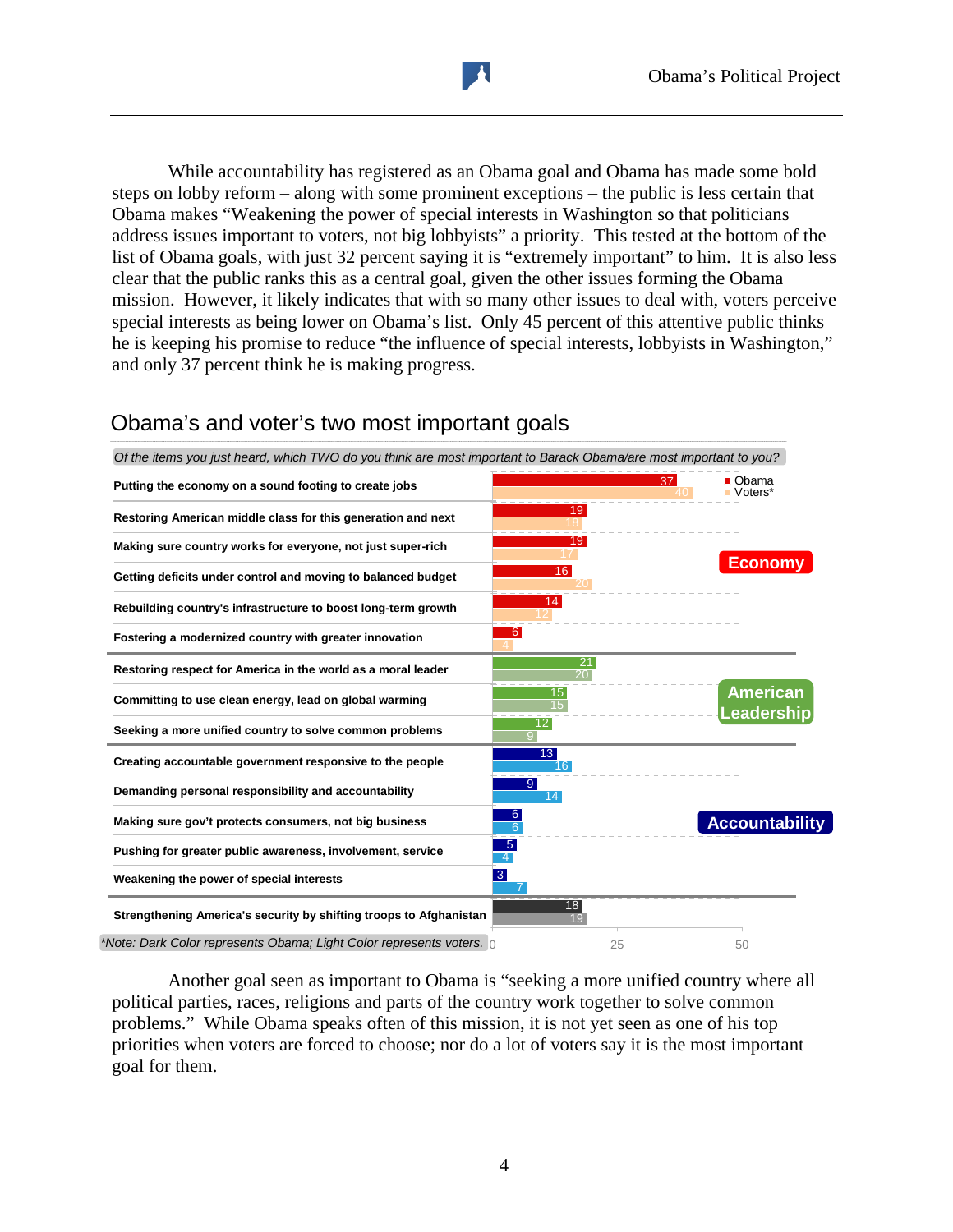While accountability has registered as an Obama goal and Obama has made some bold steps on lobby reform – along with some prominent exceptions – the public is less certain that Obama makes "Weakening the power of special interests in Washington so that politicians address issues important to voters, not big lobbyists" a priority. This tested at the bottom of the list of Obama goals, with just 32 percent saying it is "extremely important" to him. It is also less clear that the public ranks this as a central goal, given the other issues forming the Obama mission. However, it likely indicates that with so many other issues to deal with, voters perceive special interests as being lower on Obama's list. Only 45 percent of this attentive public thinks he is keeping his promise to reduce "the influence of special interests, lobbyists in Washington," and only 37 percent think he is making progress.



# Obama's and voter's two most important goals

Another goal seen as important to Obama is "seeking a more unified country where all political parties, races, religions and parts of the country work together to solve common problems." While Obama speaks often of this mission, it is not yet seen as one of his top priorities when voters are forced to choose; nor do a lot of voters say it is the most important goal for them.

4